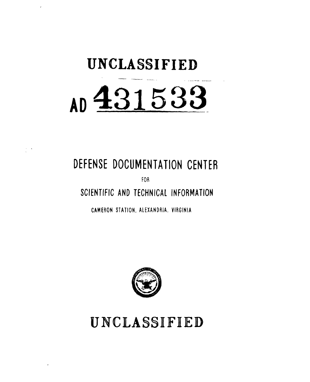# **UNCLASSIFIED AD <sup>4</sup> 3,15,3 <sup>3</sup>**

# **DEFENSE DOCUMENTATION CENTER**

FOR

**SCIENTIFIC AND TECHNICAL INFORMATION**

**CAMERON STATION.** ALEXANDRIA, VIRGINIA



**UNCLASSIFIED**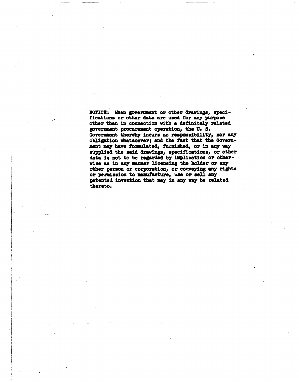NOTICE: When government or other drawings, specifications or other data are used for any purpose other than in connection vith **a** definitely related goverment **pt** operation, the **U. So Goverment** thereby **incurs** no **responsibility, nor any** obligation whatsoever; and the fact that the Government **my** have forzulated, fu.nished, or in **any** vay supplied the said **dravings, specifications,** or other data is not to be regarded by implication or othervisa **as** in any mer **licensing** the bolder or any other person or corporation, or conveying any rights or **ptriission** to mnufacture, use or **sell** any patented invention that may in any way be related thereto.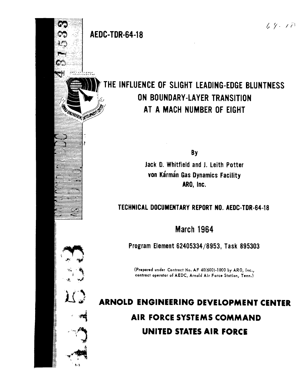₫,

₩

ತಮದೆಯಲ

**RO BAGINERRY IN TOTAL RATE** 

## THE INFLUENCE OF SLIGHT LEADING-EDGE BLUNTNESS **ON BOUNDARY-LAYER TRANSITION AT A MACH NUMBER OF EIGHT**

**By**

Jack **D.** Whitfield and **J.** Leith Potter von Kármán Gas Dynamics Facility ARO, Inc.

## **TECHNICAL DOCUMENTARY** REPORT **NO.** AEDC-TDR-64-18

**March 1964**

Program Element **62405334/8953,** Task **895303**

(Prepared under Contract No. **AF** 40(600)-1000 **by** ARO, Inc., contract operator of **AEDC,** Arnold Air Force Station, Tenn.)

**ARNOLD ENGINEERING DEVELOPMENT CENTER AIR FORCE SYSTEMS COMMAND UNITED STATES AIR FORCE**

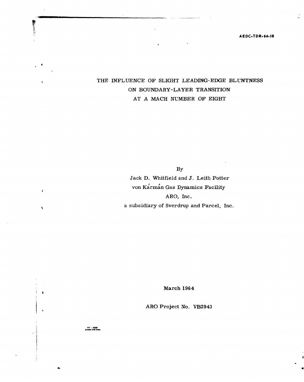**AEDC.TDR-64-18**

### **£** THE **INFLUENCE** OF SLIGHT **LEADING-EDGE BLUNTNESS ON** BOUNDARY-LAYER TRANSITION **AT A MACH** NUMBER OF **EIGHT**

By Jack **D.** Whitfield and **3.** Leith Potter von Karman Gas Dynamics Facility ARO, Inc. a subsidiary of Sverdrup and Parcel, Inc.

March 1964

ARO Project No. VB2943

AP - AEDC<br>Acmid APS Tom

のこと あまま

 $\pmb{\mathcal{E}}$ 

 $\bar{\mathbf{v}}$ 

 $\bullet$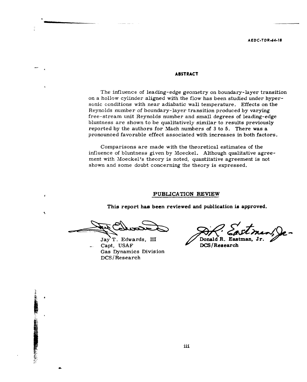#### **ABSTRACT**

The influence of leading-edge geometry on boundary-layer transition on a hollow cylinder aligned with the flow has been studied under hypersonic conditions with near adiabatic wall temperature. Effects on the Reynolds number of boundary-layer transition produced by varying free-stream unit Reynolds number and small degrees of leading-edge bluntness are shown to be qualitatively similar to results previously reported by the authors for Mach numbers of 3 to 5. There was a pronounced favorable effect associated with increases in both factors.

Comparisons are made with the theoretical estimates of the influence of bluntness given by Moeckel. Although qualitative agreement with Moeckel's theory is noted, quantitative agreement is not shown and some doubt concerning the theory is expressed.

#### **PUBLICATION REVIEW**

**This report has been reviewed and publication is approved.**

Capt, USAF **DCS/Research** Gas Dynamics Division DCS/Research

Jay T. Edwards, III // Donald R. Eastman,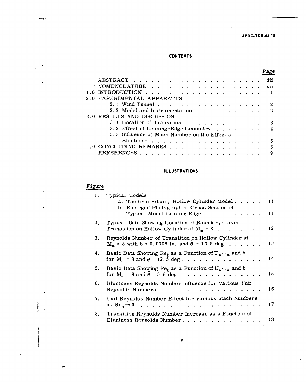#### **AEDC.TDR-64-18**

 $\ddot{\phantom{0}}$ 

Page

 $\ddot{\phantom{0}}$ 

#### **CONTENTS**

|                                                              | 111          |
|--------------------------------------------------------------|--------------|
| ' NOMENCLATURE                                               | vii          |
| 1.0 INTRODUCTION $\ldots$                                    |              |
| 2.0 EXPERIMENTAL APPARATUS                                   |              |
| 2.1 Wind Tunnel                                              |              |
| 2.2 Model and Instrumentation $\ldots$ , $\ldots$ , $\ldots$ | $\mathbf{p}$ |
| 3.0 RESULTS AND DISCUSSION                                   |              |
| 3.1 Location of Transition                                   | З            |
| 3.2 Effect of Leading-Edge Geometry                          |              |
| 3.3 Influence of Mach Number on the Effect of                |              |
|                                                              | 6            |
| 4.0 CONCLUDING REMARKS                                       | 8            |
| <b>REFERENCES</b><br>. <i>.</i> .                            | 9            |
|                                                              |              |

#### **ILLUSTRATIONS**

#### Figure

 $\blacksquare$ 

 $\tilde{\mathbf{t}}$ 

 $\mathbf{I}$ 

 $\bar{\chi}$ 

 $\bullet$ 

 $\ddot{\phantom{a}}$ 

| 1. | Typical Models                                                                                                                         |    |
|----|----------------------------------------------------------------------------------------------------------------------------------------|----|
|    | a. The 6-in.-diam, Hollow Cylinder Model<br>b. Enlarged Photograph of Cross Section of                                                 | 11 |
|    | Typical Model Leading Edge                                                                                                             | 11 |
| 2. | Typical Data Showing Location of Boundary-Layer<br>Transition on Hollow Cylinder at $M_{\odot}$ = 8                                    | 12 |
| 3. | Reynolds Number of Transition on Hollow Cylinder at<br>$M_{\odot}$ = 8 with b = 0.0006 in. and $\theta$ = 12.5 deg                     | 13 |
| 4. | Basic Data Showing Re <sub>t</sub> as a Function of $U_{\infty}/v_{\infty}$ and b<br>for $M_m = 8$ and $\overline{\theta} = 12.5$ deg  | 14 |
| 5. | Basic Data Showing Re <sub>t</sub> as a Function of $U_{\alpha}/v_{\alpha}$ and b<br>for $M_{\alpha}$ = 8 and $\bar{\theta}$ = 5.6 deg | 15 |
| 6. | Bluntness Reynolds Number Influence for Various Unit<br>Reynolds Numbers                                                               | 16 |
| 7. | Unit Reynolds Number Effect for Various Mach Numbers<br>as $Re_b \rightarrow 0$                                                        | 17 |
|    | 8. Transition Reynolds Number Increase as a Function of<br>Bluntness Reynolds Number.                                                  | 18 |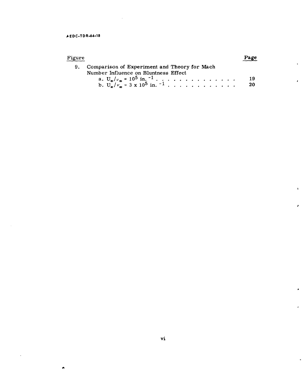$\bullet$ 

 $\sim$ 

| Figure |                                                                                         | Page |
|--------|-----------------------------------------------------------------------------------------|------|
|        | 9. Comparison of Experiment and Theory for Mach<br>Number Influence on Bluntness Effect |      |
|        |                                                                                         | - 19 |
|        | b. $U_{\rm m}/v_{\rm m} = 3 \times 10^5$ in. $^{-1}$                                    | - 20 |

 $\pmb{\ast}$ 

z

 $\bullet$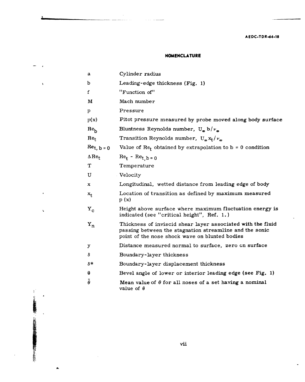#### **A EDC-TDR-64-18**

#### **NOMENCLATURE**

 $\sim$  100  $\sim$  100  $\sim$ 

| a                        | Cylinder radius                                                                                                                                                          |
|--------------------------|--------------------------------------------------------------------------------------------------------------------------------------------------------------------------|
| b                        | Leading-edge thickness (Fig. 1)                                                                                                                                          |
| $\mathbf f$              | "Function of"                                                                                                                                                            |
| М                        | Mach number                                                                                                                                                              |
| $\mathbf{p}$             | Pressure                                                                                                                                                                 |
| p(x)                     | Pitot pressure measured by probe moved along body surface                                                                                                                |
| $Re_h$                   | Bluntness Reynolds number, $U_{\omega} b/\nu_{\omega}$                                                                                                                   |
| $Re_t$                   | Transition Reynolds number, $U_{\omega} x_t / \nu_{\omega}$                                                                                                              |
| $\text{Re}_{t, b=0}$     | Value of $\text{Re}_f$ obtained by extrapolation to b = 0 condition                                                                                                      |
| $\Delta$ Re <sub>t</sub> | $Re_t - Re_{t, b=0}$                                                                                                                                                     |
| Т                        | Temperature                                                                                                                                                              |
| U                        | Velocity                                                                                                                                                                 |
| x                        | Longitudinal, wetted distance from leading edge of body                                                                                                                  |
| $x_{t}$                  | Location of transition as defined by maximum measured<br>p(x)                                                                                                            |
| ${\rm Y_c}$              | Height above surface where maximum fluctuation energy is<br>indicated (see "critical height", Ref. 1.)                                                                   |
| $Y_n$                    | Thickness of inviscid shear layer associated with the fluid<br>passing between the stagnation streamline and the sonic<br>point of the nose shock wave on blunted bodies |
| y                        | Distance measured normal to surface, zero on surface                                                                                                                     |
| δ                        | Boundary-layer thickness                                                                                                                                                 |
| δ*                       | Boundary-layer displacement thickness                                                                                                                                    |
| θ                        | Bevel angle of lower or interior leading edge (see Fig. 1)                                                                                                               |
| $\theta$                 | Mean value of $\theta$ for all noses of a set having a nominal<br>value of $\theta$                                                                                      |

 $\frac{1}{\epsilon}$ 

 $\lambda$ 

 $\ddot{\phantom{1}}$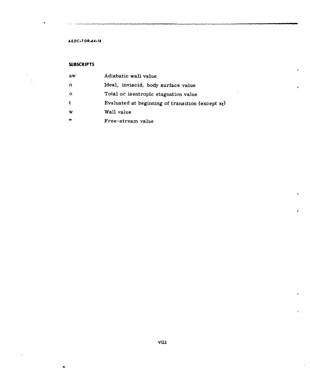#### **AEDC-TDR-64-18**

#### **SUBSCRIPTS**

ė

 $\overline{\phantom{a}}$ 

| aw          | Adiabatic wall value                                 |
|-------------|------------------------------------------------------|
| n           | Ideal, inviscid, body surface value                  |
| - 0         | Total or is entropic stagnation value                |
| $\mathbf t$ | Evaluated at beginning of transition (except $x_t$ ) |
| w           | Wall value                                           |
| œ           | Free-stream value                                    |

¥.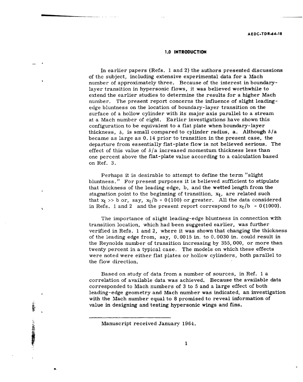#### **1.0 INTRODUCTION**

In earlier papers (Refs. 1 and 2) the authors presented discussions of the subject, including extensive experimental data for a Mach number of approximately three. Because of the interest in boundarylayer transition in hypersonic flows, it was believed worthwhile to extend the earlier studies to determine the results for a higher Mach number. The present report concerns the influence of slight leadingedge bluntness on the location of boundary-layer transition on the surface of a hollow cylinder with its major axis parallel to a stream at a Mach number of eight. Earlier investigations have shown this configuration to be equivalent to a flat plate when boundary-layer thickness,  $\delta$ , is small compared to cylinder radius, a. Although  $\delta/a$ became as large as 0.14 prior to transition in the present case, the departure from essentially flat-plate flow is not believed serious. The effect of this value of  $\delta/a$  increased momentum thickness less than one percent above the flat-plate value according to a calculation based on Ref. 3.

Perhaps it is desirable to attempt to define the term "slight bluntness. " For present purposes it is believed sufficient to stipulate that thickness of the leading edge, b, and the wetted length from the stagnation point to the beginning of transition,  $x_t$ , are related such that  $x_t$  >> b or, say,  $x_t/b = 0$  (100) or greater. All the data considered in Refs. 1 and 2 and the present report correspond to  $x_t/b = 0(1000)$ .

The importance of slight leading-edge bluntness in connection with transition location, which had been suggested earlier, was further verified in Refs. 1 and 2, where it was shown that changing the thickness of the leading edge from, say, 0. 0015 in. to 0. 0030 in. could result in the Reynolds number of transition increasing by 355, 000, or more than twenty percent in a typical case. The models on which these effects were noted were either flat plates or hollow cylinders, both parallel to the flow direction.

Based on study of data from a number of sources, in Ref. 1 a correlation of available data was achieved. Because the available data corresponded to Mach numbers of 3 to 5 and a large effect of both leading-edge geometry and Mach number was indicated, an investigation with the Mach number equal to 8 promised to reveal information of value in designing and testing hypersonic wings and fins.

**AND AND STREET AND AND AND AND AND AND AND ARTICLES AND ARTICLES AND ARTICLES AND ARTICLES AND ARTICLES AND ARTICLES AND ARTICLES AND ARTICLES AND ARTICLES AND ARTICLES AND ARTICLES AND ARTICLES AND ARTICLES AND ARTICLES** 

Manuscript received January 1964.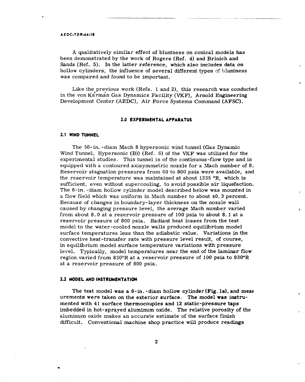#### **AEDC.TDR-64-18**

A qualitatively similar effect of bluntness on conical models has been demonstrated by the work of Rogers (Ref. 4) and Brinich and Sands (Ref. 5). In the latter reference, which also includes data on hollow cylinders, the influence of several different types of bluntness was compared and found to be important.

Like the previous work (Refs. **1** and 2), this research was conducted in the von Karman Gas Dynamics Facility (VKF), Arnold Engineering Development Center **(AEDC),** Air Force Systems Command **(AFSC).**

#### **2.0 EXPERIMENTAL APPARATUS**

#### **2.1 WIND TUNNEL**

The 50-in. -diam Mach **8** hypersonic wind tunnel (Gas Dynamic Wind Tunnel, Hypersonic (B)) (Ref. 6) of the VKF was utilized for the experimental studies. This tunnel is of the continuous-flow type and is equipped with a contoured axisymmetric nozzle for a Mach number of 8. Reservoir stagnation pressures from 60 to 800 psia were available, and the reservoir temperature was maintained at about 1335  $^{\circ}$ R, which is sufficient, even without supercooling, to avoid possible air liquefaction. The 6-in. -diam hollow cylinder model described below was mounted in a flow field which was uniform in Mach number to about **±0.** 3 percent. Because of changes in boundary-layer thickness on the nozzle wall caused by changing pressure level, the average Mach number varied from about 8. 0 at a reservoir pressure of 100 psia to about 8. 1 at a reservoir pressure of 800 psia. Radiant heat losses from the test model to the water-cooled nozzle walls produced equilibrium model surface temperatures less than the adiabatic value. Variations in the convective heat-transfer rate with pressure level result, of course, in equilibrium model surface temperature variations with pressure level. Typically, model temperatures near the end of the laminar flow region varied from 830°R at a reservoir pressure of 100 psia to 930°R at a reservoir pressure of 800 psia.

#### **2.2 MODEL AND INSTRUMENTATION**

The test model was a  $6$ -in. -diam hollow cylinder (Fig. 1a), and meas urements were taken on the exterior surface. The model **was** instrumented with 41 surface thermocouples and 12 static-pressure taps imbedded in hot-sprayed aluminum oxide. The relative porosity of the aluminum oxide makes an accurate estimate of the surface finish difficult. Conventional machine shop practice will produce readings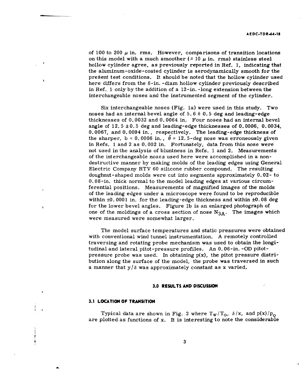of 100 to 200  $\mu$  in. rms. However, comparisons of transition locations on this model with a much smoother  $(2.10 \mu \text{ in.} \text{ rms})$  stainless steel hollow cylinder agree, as previously reported in Ref, **1,** indicating that the aluminum-oxide-coated cylinder is aerodynamically smooth for the present test conditions. It should be noted that the hollow cylinder used here differs from the 6-in. -diam hollow cylinder previously described in Ref. **1** only **by** the addition of a 12-in. -long extension between the interchangeable noses and the instrumented segment of the cylinder.

Six interchangeable noses (Fig. la) were used in this study. Two noses had an internal bevel angle of **5. 6** ± **0. 5** deg and leading-edge thicknesses of **0. 0032** and **0.** 0064 in. Four noses had an internal bevel angle of **12.5 ±0.5** deg and leading-edge thicknesses of **0. 0006, 0.0034, 0. 0067,** and **0.** 0094 in., respectively. The leading-edge thickness of the sharper,  $b = 0.0006$  in.,  $\bar{\theta} = 12.5$ -deg nose was erroneously given in Refs. **1** and 2 as **0.** 002 in. Fortunately, data from this nose were not used in the analysis of bluntness in Refs. **1** and 2. Measurements of the interchangeable noses used here were accomplished in a nondestructive manner **by** making molds of the leading edges using General Electric Company RTV **60** silicone rubber compound. The resulting doughnut-shaped molds were cut into segments approximately **0.02-** to **0.** 08-in. thick normal to the model leading edges at various circumferential positions. Measurements of magnified images of the molds of the leading edges under a microscope were found to be reproducible within **±0. 0001** in. for the leading-edge thickness and within **±0.08** deg for the lower bevel angles. Figure **lb** is an enlarged photograph of one of the moldings of a cross section of nose  $N_{3A}$ . The images which were measured were somewhat larger.

The model surface temperatures and static pressures were obtained with conventional wind tunnel instrumentation. A remotely controlled traversing and rotating probe mechanism was used to obtain the longitudinal and lateral pitot-pressure profiles. An 0.06-in. -OD pitotpressure probe was used. In obtaining  $p(x)$ , the pitot pressure distribution along the surface of the model, the probe was traversed in such a manner that  $y/\delta$  was approximately constant as x varied.

#### **3.0 RESULTS AND DISCUSSION**

#### **3.1 LOCATION OF TRANSITION**

ł.

Typical data are shown in Fig. 2 where  $T_w/T_o$ ,  $\delta/x$ , and  $p(x)/p_o$ are plotted as functions of x. It is interesting to note the considerable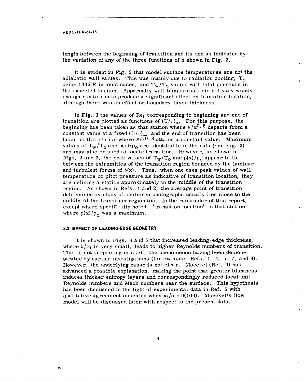#### **AEDC.TDR-64-18**

length between the beginning of transition and its end as indicated by the variation of any of the three functions of x shown in Fig. 2.

It is evident in Fig. 2 that model surface temperatures are not the adiabatic wall values. This was mainly due to radiation cooling, *<sup>T</sup> <sup>o</sup>* being 1335°R in most cases, and  $T_w/T_0$  varied with total pressure in the expected fashion. Apparently wall temperature did not vary widely enough run to run to produce a significant effect on transition location, although there was an effect on boundary-layer thickness.

In Fig. 3 the values of  $Re<sub>t</sub>$  corresponding to beginning and end of transition are plotted as functions of  $(U/\nu)_{\alpha}$ . For this purpose, the beginning has been taken as that station where  $\delta\,/\mathrm{x}^{0\ldots 5}$  departs from a constant value at a fixed  $(U/\nu)_{\omega}$ , and the end of transition has been taken as that station where  $\delta/x^{0.8}$  attains a constant value. Maximum values of  $T_w/T_0$  and  $p(x)/p_0$  are identifiable in the data (see Fig. 2) and may also be used to locate transition. However, as shown in Figs. 2 and 3, the peak values of  $T_w/T_0$  and  $p(x)/p_0$  appear to lie between the extremities of the transition region bounded by the laminar and turbulent forms of  $\delta(x)$ . Thus, when one uses peak values of wall temperature or pitot pressure as indicative of transition location, they are defining a station approximately in the middle of the transition region. As shown in Refs. 1 and 2, the average point of transition determined by study of schlieren photographs usually lies close to the middle of the transition region too. In the remainder of this report, except where specifically noted, "transition location" is that station where  $p(x)/p_0$  was a maximum.

#### **3.2 EFFECT OF LEADING-EDGE GEOMETRY**

It is shown in Figs. 4 and 5 that increased leading-edge thickness, where  $b/x_t$  is very small, leads to higher Reynolds numbers of transition. This is not surprising in itself, the phenomenon having been demonstrated by earlier investigations (for example, Refs. 1, 4, 5, 7, and 8). However, the underlying cause is not clear. Moeckel (Ref. 9) has advanced a possible explanation, making the point that greater bluntness induces thicker entropy layers and correspondingly reduced local unit Reynolds numbers and Mach numbers near the surface. This hypothesis has been discussed in the light of experimental data in Ref. 5 with qualitative agreement indicated when  $x_t/b = 0(100)$ . Moeckel's flow model will be discussed later with respect to the present data.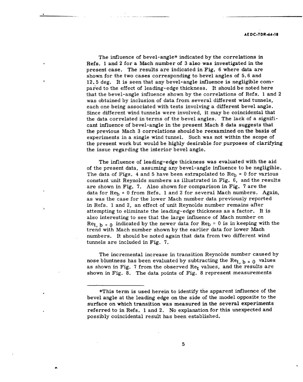The influence of bevel-angle\* indicated by the correlations in Refs. **1** and 2 for a Mach number of 3 also was investigated in the present case. The results are indicated in Fig. 6 where data are shown for the two cases corresponding to bevel angles of 5. 6 and 12. 5 deg. It is seen that any bevel-angle influence is negligible compared to the effect of leading-edge thickness. It should be noted here that the bevel-angle influence shown by the correlations of Refs. 1 and 2 was obtained by inclusion of data from several different wind tunnels, each one being associated with tests involving a different bevel angle. Since different wind tunnels were involved, it may be coincidental that the data correlated in terms of the bevel angles. The lack of a significant influence of bevel-angle in the present Mach 8 data suggests that the previous Mach 3 correlations should be reexamined on the basis of experiments in a single wind tunnel. Such was not within the scope of the present work but would be highly desirable for purposes of clarifying the issue regarding the interior bevel angle.

The influence of leading-edge thickness was evaluated with the aid of the present data, assuming any bevel-angle influence to be negligible. The data of Figs. 4 and 5 have been extrapolated to  $\text{Re}_b = 0$  for various constant unit Reynolds numbers as illustrated in Fig. 6, and the results are shown in Fig. 7. Also shown for comparison in Fig. 7 are the data for  $\text{Re}_b = 0$  from Refs. 1 and 2 for several Mach numbers. Again, as was the case for the lower Mach number data previously reported in Refs. 1 and 2, an effect of unit Reynolds number remains after attempting to eliminate the leading-edge thickness as a factor. It is also interesting to see that the large influence of Mach number on Ret,  $b = 0$  indicated by the newer data for Re<sub>b</sub> = 0 is in keeping with the trend with Mach number shown by the earlier data for lower Mach numbers. It should be noted again that data from two different wind tunnels are included in Fig. 7.

The incremental increase in transition Reynolds number caused by nose bluntness has been evaluated by subtracting the Re<sub>t, b</sub> =  $0$  values as shown in Fig. 7 from the observed  $Re<sub>t</sub>$  values, and the results are shown in Fig. 8. The data points of Fig. 8 represent measurements

<sup>\*</sup>This term is used herein to identify the apparent influence of the bevel angle at the leading edge on the side of the model opposite to the surface on which transition was measured in the several experiments referred to in Refs. 1 and 2. No explanation for this unexpected and possibly coincidental result has been established.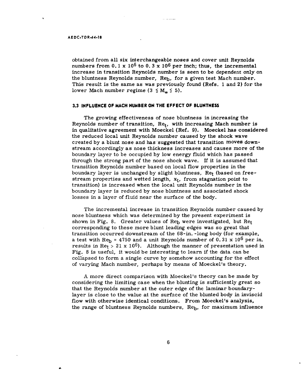#### **AE DC.TDR-64-18**

obtained from all six interchangeable noses and cover unit Reynolds numbers from **0. 1** x **106** to **0. 3** x **106** per inch; thus, the incremental increase in transition Reynolds number is seen to be dependent only on the bluntness Reynolds number, Re<sub>b</sub>, for a given test Mach number. This result is the same as was previously found (Refs. **1** and 2) for the lower Mach number regime  $(3 \le M_m \le 5)$ .

#### **3.3 INFLUENCE OF MACH NUMBER ON THE EFFECT OF BLUNTNESS**

The growing effectiveness of nose bluntness in increasing the Reynolds number of transition,  $Re_t$ , with increasing Mach number is in qualitative agreement with Moeckel (Ref. **9).** Moeckel has considered the reduced local unit Reynolds number caused **by** the shock wave created **by** a blunt nose and has suggested that transition moves downstream accordingly as nose thickness increases and causes more of the boundary layer to be occupied **by** low energy fluid which has passed through the strong part of the nose shock wave. If it is assumed that transition Reynolds number based on local flow properties in the boundary layer is unchanged **by** slight bluntness, Ret (based on freestream properties and wetted length,  $x_t$ , from stagnation point to transition) is increased when the local unit Reynolds number in the boundary layer is reduced **by** nose bluntness and associated shock losses in a layer of fluid near the surface of the body.

The incremental increase in transition Reynolds number caused **by** nose bluntness which was determined **by** the present experiment is shown in Fig. 8. Greater values of Re<sub>b</sub> were investigated, but Ret corresponding to these more blunt leading edges was so great that transition occurred downstream of the 68-in. -long body (for example, a test with  $\text{Re}_b = 4750$  and a unit Reynolds number of 0.31 x 10<sup>6</sup> per in. results in Re<sub>t</sub> > 21 x 10<sup>6</sup>). Although the manner of presentation used in Fig. 8 is useful, it would be interesting to learn if the data can be collapsed to form a single curve **by** somehow accounting for the effect of varying Mach number, perhaps **by** means of Moeckel's theory.

**A** more direct comparison with Moeckel's theory can be made **by** considering the limiting case when the blunting is sufficiently great so that the Reynolds number at the outer edge of the laminar boundarylayer is close to the value at the surface of the blunted body in inviscid flow with otherwise identical conditions. From Moeckel's analysis, the range of bluntness Reynolds numbers,  $\text{Re}_b$ , for maximum influence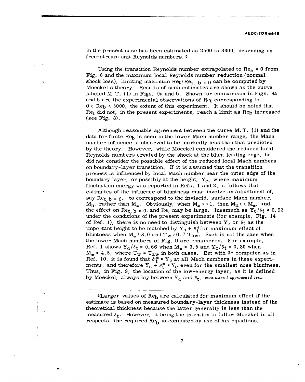in the present case has been estimated as 2500 to 3300, depending on free-stream unit Reynolds numbers. \*

Using the transition Reynolds number extrapolated to  $Re_b = 0$  from Fig. 6 and the maximum local Reynolds number reduction (normal shock loss), limiting maximum  $\text{Re}_{t}/\text{Re}_{t}$ ,  $_{\text{b}}$  = 0 can be computed by Moeckel's theory. Results of such estimates are shown as the curve labeled M. T. (1) in Figs. 9a and b. Shown for comparison in Figs. 9a and b are the experimental observations of Ret corresponding to  $0 < Re<sub>b</sub> < 3000$ , the extent of this experiment. It should be noted that  $Re<sub>t</sub>$  did not, in the present experiments, reach a limit as  $Re<sub>b</sub>$  increased (see Fig. 8).

Although reasonable agreement between the curve M. T. **(1)** and the data for finite  $\text{Re}_b$  is seen in the lower Mach number range, the Mach number influence is observed to be markedly less than that predicted by the theory. However, while Moeckel considered the reduced local Reynolds numbers created by the shock at the blunt leading edge, he did not consider the possible effect of the reduced local Mach numbers on boundary-layer transition. If it is assumed that the transition process is influenced by local Mach number near the outer edge of the boundary layer, or possibly at the height,  $Y_c$ , where maximum fluctuation energy was reported in Refs. 1 and 2, it follows that estimates of the influence of bluntness must involve an adjustment of, say  $\text{Re}_{t}$   $_{b}$  = 0, to correspond to the inviscid, surface Mach number,  $M_n$ , rather than  $M_{\infty}$ . Obviously, when  $M_{\infty}$  > > 1, then  $M_n$ <<  $M_{\infty}$ , and the effect on Ret,  $b = 0$  and Re<sub>t</sub> may be large. Inasmuch as  $Y_c/\delta t = 0.93$ under the conditions of the present experiments (for example, Fig. 14 of Ref. 1), there is no need to distinguish between  $Y_c$  or  $\delta_t$  as the important height to be matched by  $Y_n + \delta_t^*$  for maximum effect of bluntness when  $M_{\infty} \geq 8.0$  and  $T_W > 0.7$   $T_{\text{aw}}$ . Such is not the case when the lower Mach numbers of Fig. 9 are considered. For example, Ref. 1 shows  $Y_c/\delta_t = 0.66$  when  $M_{\infty} = 3.5$  and  $Y_c/\delta_t = 0.80$  when  $M_{\odot}$  = 4.5, where T<sub>W</sub> = T<sub>aW</sub> in both cases. But with  $\delta$ \* computed as in Ref. 10, it is found that  $\delta_t^*$  **:** Y<sub>c</sub> at all Mach numbers in these experiments, and therefore  $Y_n + \delta_t^*$  =  $Y_c$  even for the smallest nose bluntness. Thus, in Fig. *9,* the location of the low-energy layer, as it is defined by Moeckel, always lay between Y<sub>c</sub> and  $\delta_t$ , even uhen b approached zero.

<sup>\*</sup>Larger values of Re<sub>b</sub> are calculated for maximum effect if the estimate is based on measured boundary-layer thickness instead of the theoretical thickness because the latter generally is less than the measured  $\delta_t$ . However, it being the intention to follow Moeckel in all respects, the required  $\text{Re}_{b}$  is computed by use of his equations.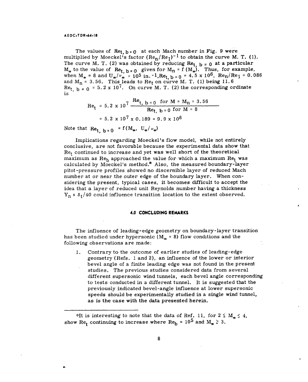#### **A ED C-TDR-64-18**

The values of  $\text{Re}_t$ ,  $b = 0$  at each Mach number in Fig. 9 were multiplied by Moeckel's factor  $(Re_n/Re_1)^{-1}$  to obtain the curve M. T. (1). The curve M. T. (2) was obtained by reducing  $Re_{t, b} = 0$  at a particular  $M_{\infty}$  to the value of  $\text{Re}_{t, b=0}$  given for  $M_{n} = f(M_{\infty})$ . Thus, for example, when  $M_{\infty} = 8$  and  $U_{\infty}/v_{\infty} = 10^5$  in.  $-1,$  Re<sub>t, b</sub> = 0 = 4.5 x 10<sup>6</sup>, Re<sub>n</sub>/Re<sub>1</sub> = 0.086 and  $M_n = 3.56$ . This leads to Re<sub>t</sub> on curve M. T. (1) being 11.  $Re_t$ ,  $b = 0$  = 5.2 x 10<sup>7</sup>. On curve M. T. (2) the corresponding ordinate is

$$
Re_t = 5.2 \times 10^7 \frac{Re_{t, b=0} \text{ for } M = M_n = 3.56}{Re_{t, b=0} \text{ for } M = 8}
$$

$$
= 5.2 \times 10^7 \times 0.189 = 9.9 \times 10^6
$$

Note that  $\text{Re}_{t_b}$  **b** = 0  $f(M_\infty, U_\infty/\nu_\infty)$ 

Implications regarding Moeckel's flow model, while not entirely conclusive, are not favorable because the experimental data show that  $Re<sub>t</sub>$  continued to increase and yet was well short of the theoretical maximum as  $Re_h$  approached the value for which a maximum  $Re_t$  was calculated by Moeckel's method.\* Also, the measured boundary-layer pitot-pressure profiles showed no discernible layer of reduced Mach number at or near the outer edge of the boundary layer. When considering the present, typical cases, it becomes difficult to accept the idea that a layer of reduced unit Reynolds number having a thickness  $Y_n$  **z**  $\delta_t/40$  could influence transition location to the extent observed.

#### **4.0 CONCLUDING REMARKS**

The influence of leading-edge geometry on boundary-layer transition has been studied under hypersonic ( $M_{\odot}$  = 8) flow conditions and the following observations are made:

1. Contrary to the outcome of earlier studies of leading-edge geometry (Refs. 1 and 2), an influence of the lower or interior bevel angle of a finite leading edge was not found in the present studies. The previous studies considered data from several different supersonic wind tunnels, each bevel angle corresponding to tests conducted in a different tunnel. It is suggested that the previously indicated bevel-angle influence at lower supersonic speeds should be experimentally studied in a single wind tunnel, as is the case with the data presented herein.

<sup>\*</sup>It is interesting to note that the data of Ref. 11, for  $2 \le M_{\odot} \le 4$ , show Re<sub>t</sub> continuing to increase where Re<sub>b</sub> =  $10^5$  and M<sub>a</sub>  $\geq 3$ .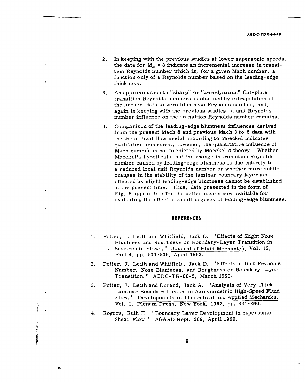- 2. In keeping with the previous studies at lower supersonic speeds, the data for  $M_{\odot}$  = 8 indicate an incremental increase in transition Reynolds number which is, for a given Mach number, a function only of a Reynolds number based on the leading-edge thickness.
- 3. An approximation to "sharp" or "aerodynamic" flat-plate transition Reynolds numbers is obtained by extrapolation of the present data to zero bluntness Reynolds number, and, again in keeping with the previous studies, a unit Reynolds number influence on the transition Reynolds number remains.
- 4. Comparison of the leading-edge bluntness influences derived from the present Mach 8 and previous Mach 3 to 5 data with the theoretical flow model according to Moeckel indicates qualitative agreement; however, the quantitative influence of Mach number is not predicted by Moeckel's theory. Whether Moeckel's hypothesis that the change in transition Reynolds number caused by leading-edge bluntness is due entirely to a reduced local unit Reynolds number or whether more subtle changes in the stability of the laminar boundary layer are effected by slight leading-edge bluntness cannot be established at the present time. Thus, data presented in the form of Fig. 8 appear to offer the better means now available for evaluating the effect of small degrees of leading-edge bluntness.

#### **REFERENCES**

- 1. Potter, **J.** Leith and Whitfield, Jack D. "Effects of Slight Nose Bluntness and Roughness on Boundary-Layer Transition in Supersonic Flows." Journal of Fluid Mechanics, Vol. 12, Part 4, pp. 501-535, April 1962.
- 2. Potter, J. Leith and Whitfield, Jack D. "Effects of Unit Reynolds Number, Nose Bluntness, and Roughness on Boundary Layer Transition. " AEDC-TR-60-5, March 1960.
- 3. Potter, J. Leith and Durand, Jack A. "Analysis of Very Thick Laminar Boundary Layers in Axisymmetric High-Speed Fluid Flow. " Developments in Theoretical and Applied Mechanics, Vol. **1,** Plenum Press, New York, **1963,** pp. 341-360.
- 4. Rogers, Ruth H. "Boundary Layer Development in Supersonic Shear Flow." AGARD Rept. 269, April 1960.

· 小安田上の海の御堂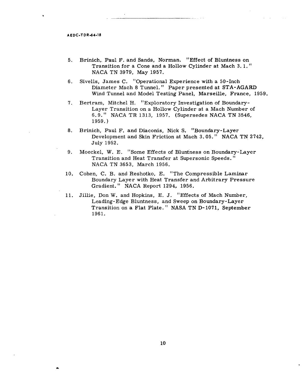$\bullet$ 

- **5.** Brinich,\_ Paul F. and Sands, Norman. "Effect of Bluntness on Transition for a Cone and a Hollow Cylinder at Mach **3. 1."** NACA TN 3979, May **1957.**
- 6. Sivells, James C. "Operational Experience with a 50-Inch Diameter Mach 8 Tunnel. " Paper presented at STA-AGARD Wind Tunnel and Model Testing Panel, Marseille, France, 1959.
- 7. Bertram, Mitchel H. "Exploratory Investigation of Boundary-Layer Transition on a Hollow Cylinder at a Mach Number of 6. 9." NACA TR 1313, 1957. (Supersedes NACA TN 3546, 1959.)
- 8. Brinich, Paul F. and Diaconis, Nick S. "Boundary-Layer Development and Skin Friction at Mach 3. 05. " NACA TN 2742, July 1952.
- 9. Moeckel, W. E. "Some Effects of Bluntness on Boundary-Layer Transition and Heat Transfer at Supersonic Speeds." NACA TN 3653, March 1956.
- 10. Cohen, C. B. and Reshotko, E. "The Compressible Laminar Boundary Layer with Heat Transfer and Arbitrary Pressure Gradient." NACA Report 1294, 1956.
- 11. Jillie, Don W. and Hopkins, E. J. "Effects of Mach Number, Leading-Edge Bluntness, and Sweep on Boundary-Layer Transition on a Flat Plate. " NASA TN D-1071, September 1961.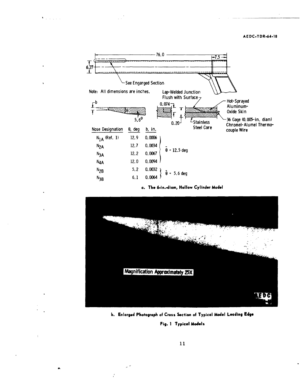#### **AEDC.TDR-64-18**



 $\mathbf{V}_{\text{in}}$  ,  $\mathbf{V}_{\text{in}}$  ,  $\mathbf{V}_{\text{in}}$ 

**a. The 6\*in.-diam, Hollow Cylinder Model**



**b. Enlarged Photograph of Cross Section of Typical Model Leading Edge**

Fig. **1** Typical **Models**

 $\cdot$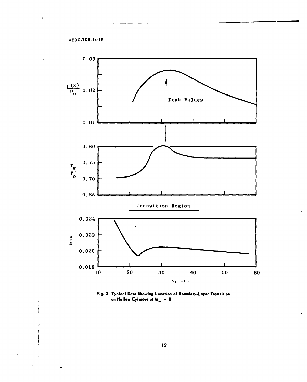ł



Fig. 2 Typical Data Showing Location of Boundary-Layer Transition on Hollow Cylinder at  $M_{\sim} = 8$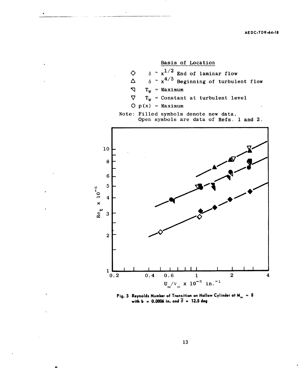

**Fig. 3** Reynolds Number of Transition on Hollow Cylinder at  $M_{\infty} = 8$  with b = 0.0006 in. and  $\overline{\theta} = 12.5$  deg

**13**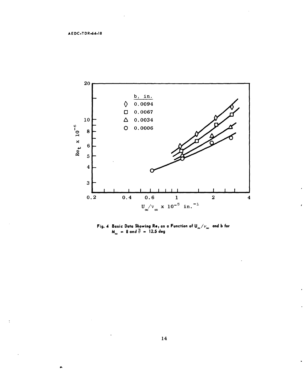$\mathfrak{t}$ 



Fig. 4 Basic Data Showing **Re,** as **a** Function of **U./izo** and **b** for  $M_{\infty}$  = 8 and  $\overline{\theta}$  = 12.5 deg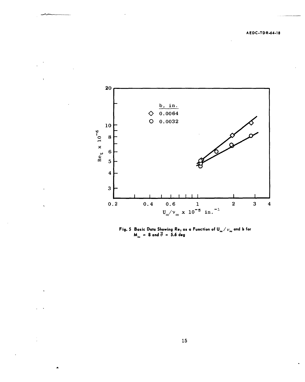

Fig. **5** Basic Data Showing Rot as **a** Function of **U./v.** and **b** for  $= 8$  and  $\overline{\theta} = 5.6$  deg

**15**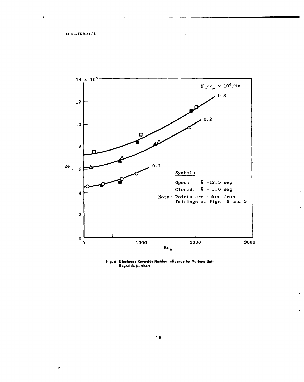$\pmb{\lambda}$ 

jŅ,



**Fig. 6 Bluntness Reynolds Number Influence** for Various Unit **Reynolds Numbers**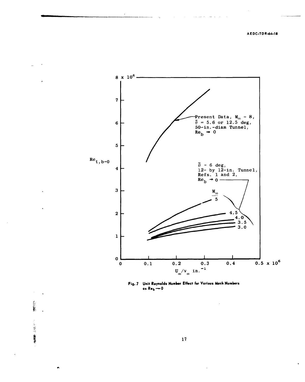AEOC-TDR-64-18



Fig. 7 Unit Reynolds Num<del>ber</del> Effect for Various Mach Numbers **as Re,-0**

「大きくのかい

**17**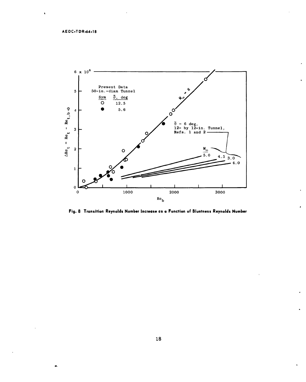$\bullet$ 



**Fig. 8 Transition Reynolds Number Increase as a Function of Bluntness Reynolds Number**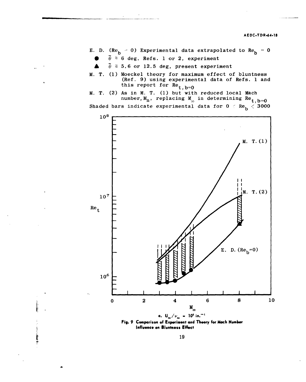- **E.** D.  $(Re_h = 0)$  Experimental data extrapolated to  $Re_h = 0$ 
	- $\bar{\theta} \approx 6$  deg, Refs. 1 or 2, experiment
	- $\bar{\theta}$   $\approx$  5.6 or 12.5 deg, present experiment
- M. T. (1) Moeckel theory for maximum effect of bluntness (Ref. 9) using experimental data of Refs. 1 and this report for  $Re_t$ ,  $b=0$
- M. T. (2) As in M. T. (1) but with reduced local Mach number,  $M_n$ , replacing  $M_n$  in determining Re<sub>t, b=0</sub>

Shaded bars indicate experimental data for  $0 < Re_b < 3000$ 



**Fig. 9 Comparison of Experiment and Theory for Mach Number Influence on Bluntness Effect**